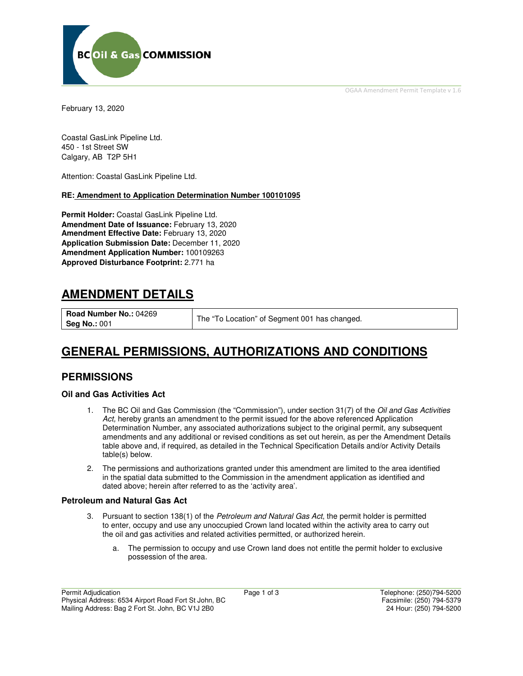OGAA Amendment Permit Template v 1.6



February 13, 2020

Coastal GasLink Pipeline Ltd. 450 - 1st Street SW Calgary, AB T2P 5H1

Attention: Coastal GasLink Pipeline Ltd.

### **RE: Amendment to Application Determination Number 100101095**

**Permit Holder:** Coastal GasLink Pipeline Ltd. **Amendment Date of Issuance:** February 13, 2020 **Amendment Effective Date:** February 13, 2020 **Application Submission Date:** December 11, 2020 **Amendment Application Number:** 100109263 **Approved Disturbance Footprint:** 2.771 ha

# **AMENDMENT DETAILS**

**Road Number No.:** 04269

**Seg No.: 001** The "To Location" of Segment 001 has changed.

# **GENERAL PERMISSIONS, AUTHORIZATIONS AND CONDITIONS**

## **PERMISSIONS**

#### **Oil and Gas Activities Act**

- 1. The BC Oil and Gas Commission (the "Commission"), under section 31(7) of the Oil and Gas Activities Act, hereby grants an amendment to the permit issued for the above referenced Application Determination Number, any associated authorizations subject to the original permit, any subsequent amendments and any additional or revised conditions as set out herein, as per the Amendment Details table above and, if required, as detailed in the Technical Specification Details and/or Activity Details table(s) below.
- 2. The permissions and authorizations granted under this amendment are limited to the area identified in the spatial data submitted to the Commission in the amendment application as identified and dated above; herein after referred to as the 'activity area'.

#### **Petroleum and Natural Gas Act**

- 3. Pursuant to section 138(1) of the Petroleum and Natural Gas Act, the permit holder is permitted to enter, occupy and use any unoccupied Crown land located within the activity area to carry out the oil and gas activities and related activities permitted, or authorized herein.
	- a. The permission to occupy and use Crown land does not entitle the permit holder to exclusive possession of the area.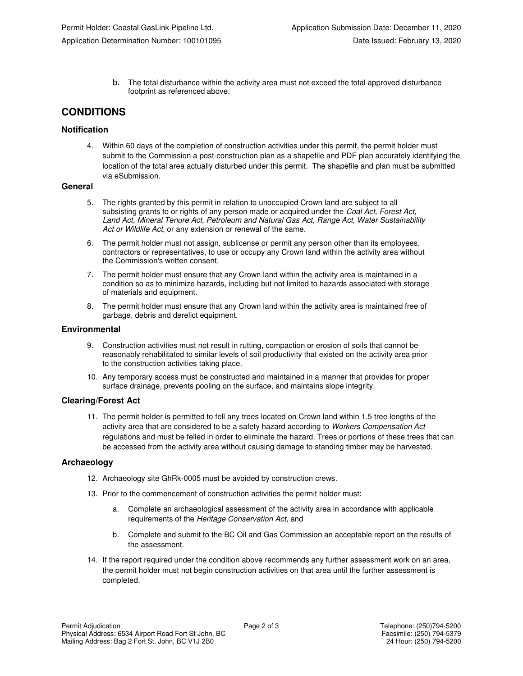b. The total disturbance within the activity area must not exceed the total approved disturbance footprint as referenced above.

## **CONDITIONS**

### **Notification**

4. Within 60 days of the completion of construction activities under this permit, the permit holder must submit to the Commission a post-construction plan as a shapefile and PDF plan accurately identifying the location of the total area actually disturbed under this permit. The shapefile and plan must be submitted via eSubmission.

#### **General**

- 5. The rights granted by this permit in relation to unoccupied Crown land are subject to all subsisting grants to or rights of any person made or acquired under the Coal Act, Forest Act, Land Act, Mineral Tenure Act, Petroleum and Natural Gas Act, Range Act, Water Sustainability Act or Wildlife Act, or any extension or renewal of the same.
- 6. The permit holder must not assign, sublicense or permit any person other than its employees, contractors or representatives, to use or occupy any Crown land within the activity area without the Commission's written consent.
- 7. The permit holder must ensure that any Crown land within the activity area is maintained in a condition so as to minimize hazards, including but not limited to hazards associated with storage of materials and equipment.
- 8. The permit holder must ensure that any Crown land within the activity area is maintained free of garbage, debris and derelict equipment.

#### **Environmental**

- 9. Construction activities must not result in rutting, compaction or erosion of soils that cannot be reasonably rehabilitated to similar levels of soil productivity that existed on the activity area prior to the construction activities taking place.
- 10. Any temporary access must be constructed and maintained in a manner that provides for proper surface drainage, prevents pooling on the surface, and maintains slope integrity.

#### **Clearing/Forest Act**

11. The permit holder is permitted to fell any trees located on Crown land within 1.5 tree lengths of the activity area that are considered to be a safety hazard according to Workers Compensation Act regulations and must be felled in order to eliminate the hazard. Trees or portions of these trees that can be accessed from the activity area without causing damage to standing timber may be harvested.

#### **Archaeology**

- 12. Archaeology site GhRk-0005 must be avoided by construction crews.
- 13. Prior to the commencement of construction activities the permit holder must:
	- a. Complete an archaeological assessment of the activity area in accordance with applicable requirements of the Heritage Conservation Act, and
	- b. Complete and submit to the BC Oil and Gas Commission an acceptable report on the results of the assessment.
- 14. If the report required under the condition above recommends any further assessment work on an area, the permit holder must not begin construction activities on that area until the further assessment is completed.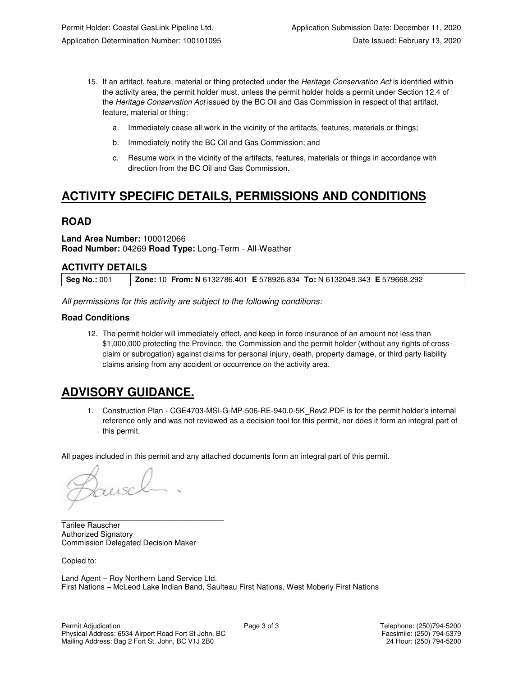- 15. If an artifact, feature, material or thing protected under the Heritage Conservation Act is identified within the activity area, the permit holder must, unless the permit holder holds a permit under Section 12.4 of the Heritage Conservation Act issued by the BC Oil and Gas Commission in respect of that artifact, feature, material or thing:
	- a. Immediately cease all work in the vicinity of the artifacts, features, materials or things;
	- b. Immediately notify the BC Oil and Gas Commission; and
	- c. Resume work in the vicinity of the artifacts, features, materials or things in accordance with direction from the BC Oil and Gas Commission.

# **ACTIVITY SPECIFIC DETAILS, PERMISSIONS AND CONDITIONS**

## **ROAD**

#### **Land Area Number:** 100012066 **Road Number:** 04269 **Road Type:** Long-Term - All-Weather

### **ACTIVITY DETAILS**

All permissions for this activity are subject to the following conditions:

### **Road Conditions**

12. The permit holder will immediately effect, and keep in force insurance of an amount not less than \$1,000,000 protecting the Province, the Commission and the permit holder (without any rights of crossclaim or subrogation) against claims for personal injury, death, property damage, or third party liability claims arising from any accident or occurrence on the activity area.

# **ADVISORY GUIDANCE.**

1. Construction Plan - CGE4703-MSI-G-MP-506-RE-940.0-5K\_Rev2.PDF is for the permit holder's internal reference only and was not reviewed as a decision tool for this permit, nor does it form an integral part of this permit.

All pages included in this permit and any attached documents form an integral part of this permit.

 $\mu$ SC

\_\_\_\_\_\_\_\_\_\_\_\_\_\_\_\_\_\_\_\_\_\_\_\_\_\_\_\_\_\_\_\_\_\_\_\_\_\_ Tarilee Rauscher Authorized Signatory Commission Delegated Decision Maker

Copied to:

Land Agent – Roy Northern Land Service Ltd. First Nations – McLeod Lake Indian Band, Saulteau First Nations, West Moberly First Nations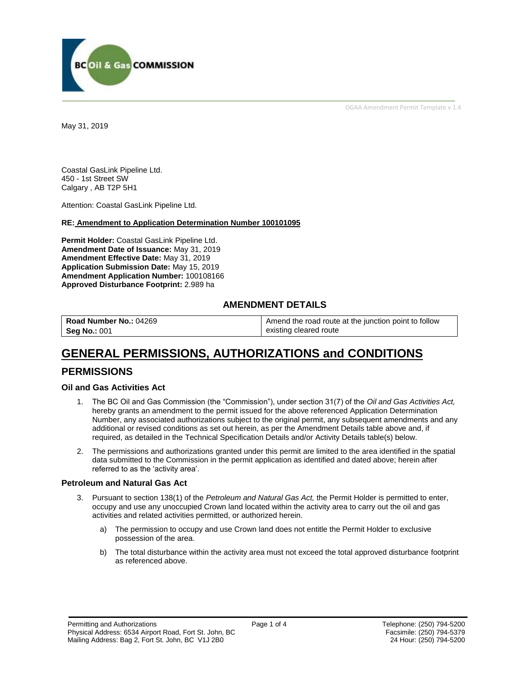

OGAA Amendment Permit Template v 1.4

May 31, 2019

Coastal GasLink Pipeline Ltd. 450 - 1st Street SW Calgary , AB T2P 5H1

Attention: Coastal GasLink Pipeline Ltd.

#### **RE: Amendment to Application Determination Number 100101095**

**Permit Holder:** Coastal GasLink Pipeline Ltd. **Amendment Date of Issuance:** May 31, 2019 **Amendment Effective Date:** May 31, 2019 **Application Submission Date:** May 15, 2019 **Amendment Application Number:** 100108166 **Approved Disturbance Footprint:** 2.989 ha

### **AMENDMENT DETAILS**

| Road Number No.: 04269 | Amend the road route at the junction point to follow |
|------------------------|------------------------------------------------------|
| <b>Seg No.: 001</b>    | existing cleared route                               |

# **GENERAL PERMISSIONS, AUTHORIZATIONS and CONDITIONS**

## **PERMISSIONS**

#### **Oil and Gas Activities Act**

- 1. The BC Oil and Gas Commission (the "Commission"), under section 31(7) of the *Oil and Gas Activities Act,*  hereby grants an amendment to the permit issued for the above referenced Application Determination Number, any associated authorizations subject to the original permit, any subsequent amendments and any additional or revised conditions as set out herein, as per the Amendment Details table above and, if required, as detailed in the Technical Specification Details and/or Activity Details table(s) below.
- 2. The permissions and authorizations granted under this permit are limited to the area identified in the spatial data submitted to the Commission in the permit application as identified and dated above; herein after referred to as the 'activity area'.

#### **Petroleum and Natural Gas Act**

- 3. Pursuant to section 138(1) of the *Petroleum and Natural Gas Act,* the Permit Holder is permitted to enter, occupy and use any unoccupied Crown land located within the activity area to carry out the oil and gas activities and related activities permitted, or authorized herein.
	- a) The permission to occupy and use Crown land does not entitle the Permit Holder to exclusive possession of the area.
	- b) The total disturbance within the activity area must not exceed the total approved disturbance footprint as referenced above.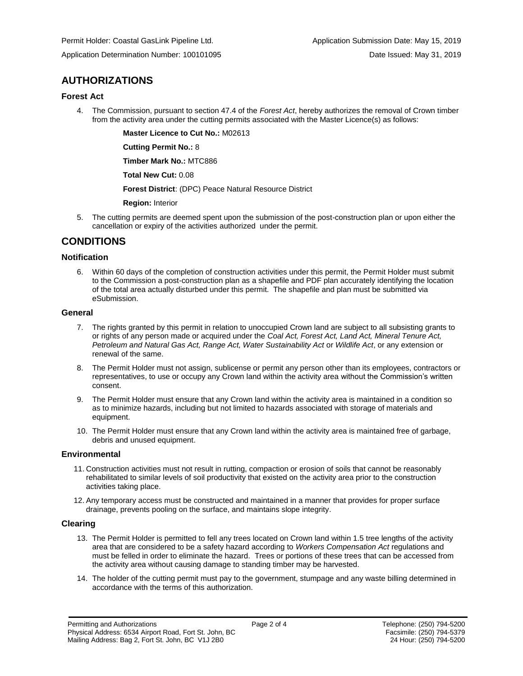Application Determination Number: 100101095 Date Issued: May 31, 2019

# **AUTHORIZATIONS**

#### **Forest Act**

4. The Commission, pursuant to section 47.4 of the *Forest Act*, hereby authorizes the removal of Crown timber from the activity area under the cutting permits associated with the Master Licence(s) as follows:

**Master Licence to Cut No.:** M02613

**Cutting Permit No.:** 8

**Timber Mark No.:** MTC886

**Total New Cut:** 0.08

**Forest District**: (DPC) Peace Natural Resource District

**Region:** Interior

5. The cutting permits are deemed spent upon the submission of the post-construction plan or upon either the cancellation or expiry of the activities authorized under the permit.

# **CONDITIONS**

#### **Notification**

6. Within 60 days of the completion of construction activities under this permit, the Permit Holder must submit to the Commission a post-construction plan as a shapefile and PDF plan accurately identifying the location of the total area actually disturbed under this permit. The shapefile and plan must be submitted via eSubmission.

#### **General**

- 7. The rights granted by this permit in relation to unoccupied Crown land are subject to all subsisting grants to or rights of any person made or acquired under the *Coal Act, Forest Act, Land Act, Mineral Tenure Act, Petroleum and Natural Gas Act, Range Act, Water Sustainability Act* or *Wildlife Act*, or any extension or renewal of the same.
- 8. The Permit Holder must not assign, sublicense or permit any person other than its employees, contractors or representatives, to use or occupy any Crown land within the activity area without the Commission's written consent.
- 9. The Permit Holder must ensure that any Crown land within the activity area is maintained in a condition so as to minimize hazards, including but not limited to hazards associated with storage of materials and equipment.
- 10. The Permit Holder must ensure that any Crown land within the activity area is maintained free of garbage, debris and unused equipment.

#### **Environmental**

- 11. Construction activities must not result in rutting, compaction or erosion of soils that cannot be reasonably rehabilitated to similar levels of soil productivity that existed on the activity area prior to the construction activities taking place.
- 12. Any temporary access must be constructed and maintained in a manner that provides for proper surface drainage, prevents pooling on the surface, and maintains slope integrity.

#### **Clearing**

- 13. The Permit Holder is permitted to fell any trees located on Crown land within 1.5 tree lengths of the activity area that are considered to be a safety hazard according to *Workers Compensation Act* regulations and must be felled in order to eliminate the hazard. Trees or portions of these trees that can be accessed from the activity area without causing damage to standing timber may be harvested.
- 14. The holder of the cutting permit must pay to the government, stumpage and any waste billing determined in accordance with the terms of this authorization.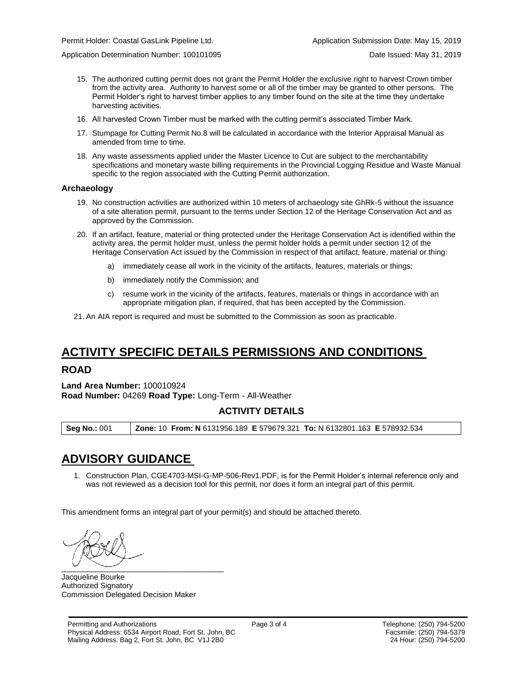Application Determination Number: 100101095 Date Issued: May 31, 2019

- 15. The authorized cutting permit does not grant the Permit Holder the exclusive right to harvest Crown timber from the activity area. Authority to harvest some or all of the timber may be granted to other persons. The Permit Holder's right to harvest timber applies to any timber found on the site at the time they undertake harvesting activities.
- 16. All harvested Crown Timber must be marked with the cutting permit's associated Timber Mark.
- 17. Stumpage for Cutting Permit No.8 will be calculated in accordance with the Interior Appraisal Manual as amended from time to time.
- 18. Any waste assessments applied under the Master Licence to Cut are subject to the merchantability specifications and monetary waste billing requirements in the Provincial Logging Residue and Waste Manual specific to the region associated with the Cutting Permit authorization.

#### **Archaeology**

- 19. No construction activities are authorized within 10 meters of archaeology site GhRk-5 without the issuance of a site alteration permit, pursuant to the terms under Section 12 of the Heritage Conservation Act and as approved by the Commission.
- 20. If an artifact, feature, material or thing protected under the Heritage Conservation Act is identified within the activity area, the permit holder must, unless the permit holder holds a permit under section 12 of the Heritage Conservation Act issued by the Commission in respect of that artifact, feature, material or thing:
	- a) immediately cease all work in the vicinity of the artifacts, features, materials or things;
	- b) immediately notify the Commission; and
	- c) resume work in the vicinity of the artifacts, features, materials or things in accordance with an appropriate mitigation plan, if required, that has been accepted by the Commission.
- 21. An AIA report is required and must be submitted to the Commission as soon as practicable.

# **ACTIVITY SPECIFIC DETAILS PERMISSIONS AND CONDITIONS**

### **ROAD**

**Land Area Number:** 100010924 **Road Number:** 04269 **Road Type:** Long-Term - All-Weather

## **ACTIVITY DETAILS**

**Seg No.:** 001 **Zone:** 10 **From: N** 6131956.189 **E** 579679.321 **To:** N 6132801.163 **E** 578932.534

# **ADVISORY GUIDANCE**

1. Construction Plan, CGE4703-MSI-G-MP-506-Rev1.PDF, is for the Permit Holder's internal reference only and was not reviewed as a decision tool for this permit, nor does it form an integral part of this permit.

This amendment forms an integral part of your permit(s) and should be attached thereto.

 $\overbrace{\phantom{aaaaaaa}}$ 

Jacqueline Bourke Authorized Signatory Commission Delegated Decision Maker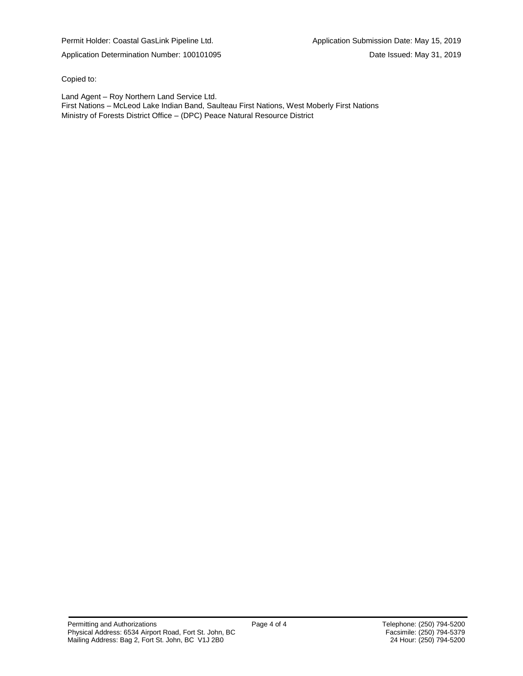Permit Holder: Coastal GasLink Pipeline Ltd. Application Submission Date: May 15, 2019

Copied to:

Land Agent – Roy Northern Land Service Ltd. First Nations – McLeod Lake Indian Band, Saulteau First Nations, West Moberly First Nations Ministry of Forests District Office – (DPC) Peace Natural Resource District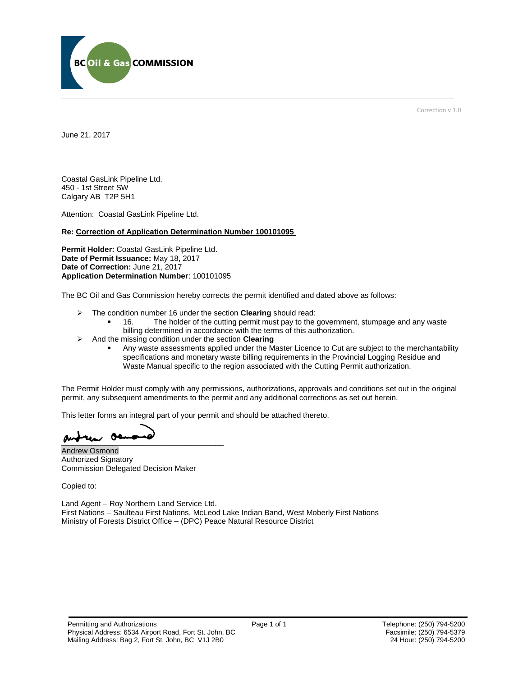

Correction v 1.0

June 21, 2017

Coastal GasLink Pipeline Ltd. 450 - 1st Street SW Calgary AB T2P 5H1

Attention: Coastal GasLink Pipeline Ltd.

#### **Re: Correction of Application Determination Number 100101095**

**Permit Holder:** Coastal GasLink Pipeline Ltd. **Date of Permit Issuance:** May 18, 2017 **Date of Correction:** June 21, 2017 **Application Determination Number**: 100101095

The BC Oil and Gas Commission hereby corrects the permit identified and dated above as follows:

- The condition number 16 under the section **Clearing** should read:
	- 16. The holder of the cutting permit must pay to the government, stumpage and any waste billing determined in accordance with the terms of this authorization.
- And the missing condition under the section **Clearing**
	- Any waste assessments applied under the Master Licence to Cut are subject to the merchantability specifications and monetary waste billing requirements in the Provincial Logging Residue and Waste Manual specific to the region associated with the Cutting Permit authorization.

The Permit Holder must comply with any permissions, authorizations, approvals and conditions set out in the original permit, any subsequent amendments to the permit and any additional corrections as set out herein.

This letter forms an integral part of your permit and should be attached thereto.

 $\frac{1}{2}$ 

Andrew Osmond Authorized Signatory Commission Delegated Decision Maker

Copied to:

Land Agent – Roy Northern Land Service Ltd. First Nations – Saulteau First Nations, McLeod Lake Indian Band, West Moberly First Nations Ministry of Forests District Office – (DPC) Peace Natural Resource District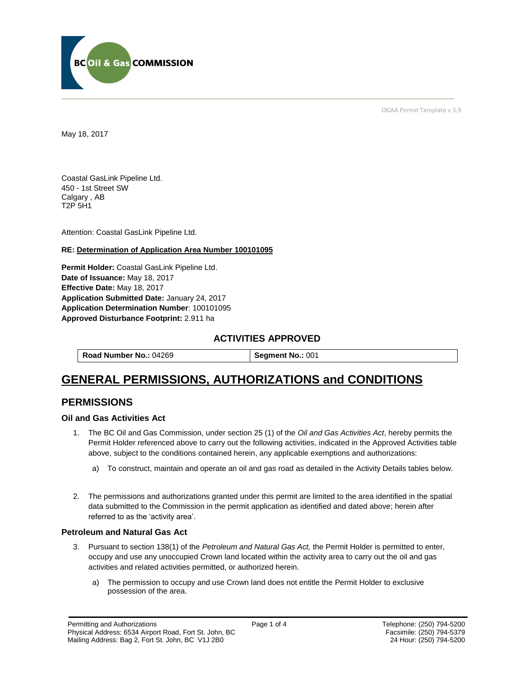

OGAA Permit Template v 3.9

May 18, 2017

Coastal GasLink Pipeline Ltd. 450 - 1st Street SW Calgary , AB T2P 5H1

[Attention:](#page-8-0) Coastal GasLink Pipeline Ltd.

#### **RE: Determination of Application Area Number 100101095**

**[Permit Holder:](#page-8-0)** Coastal GasLink Pipeline Ltd. **[Date of Issuance:](#page-8-0)** May 18, 2017 **[Effective Date:](#page-8-1)** May 18, 2017 **[Application Submitted Date:](#page-8-0)** January 24, 2017 **[Application Determination Number](#page-8-0)**: 100101095 **Approved Disturbance Footprint:** 2.911 ha

### **ACTIVITIES APPROVED**

| Road Number No.: 04269 | Segment No.: 001 |
|------------------------|------------------|
|------------------------|------------------|

# **GENERAL PERMISSIONS, AUTHORIZATIONS and CONDITIONS**

## **PERMISSIONS**

#### **Oil and Gas Activities Act**

- <span id="page-8-0"></span>1. The BC Oil and Gas Commission, under section 25 (1) of the *Oil and Gas Activities Act*, hereby permits the Permit Holder referenced above to carry out the following activities, indicated in the Approved Activities table above, subject to the conditions contained herein, any applicable exemptions and authorizations:
	- a) To construct, maintain and operate an oil and gas road as detailed in the Activity Details tables below.
- <span id="page-8-1"></span>2. The permissions and authorizations granted under this permit are limited to the area identified in the spatial data submitted to the Commission in the permit application as identified and dated above; herein after referred to as the 'activity area'.

#### **Petroleum and Natural Gas Act**

- 3. Pursuant to section 138(1) of the *Petroleum and Natural Gas Act,* the Permit Holder is permitted to enter, occupy and use any unoccupied Crown land located within the activity area to carry out the oil and gas activities and related activities permitted, or authorized herein.
	- a) The permission to occupy and use Crown land does not entitle the Permit Holder to exclusive possession of the area.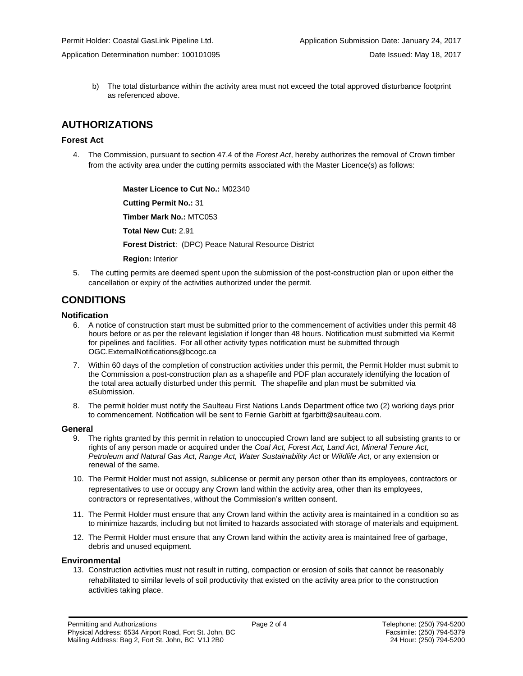b) The total disturbance within the activity area must not exceed the total approved disturbance footprint as referenced above.

# **AUTHORIZATIONS**

### **Forest Act**

4. The Commission, pursuant to section 47.4 of the *Forest Act*, hereby authorizes the removal of Crown timber from the activity area under the cutting permits associated with the Master Licence(s) as follows:

> **[Master Licence to Cut No.:](#page-8-0)** M02340 **[Cutting Permit No.:](#page-8-0)** 31 **[Timber Mark No.:](#page-8-0)** MTC053 **[Total New Cut:](#page-8-0)** 2.91 **[Forest District](https://ams-crd.bcogc.ca/crd/)**: (DPC) Peace Natural Resource District **[Region:](#page-8-1)** Interior

5. The cutting permits are deemed spent upon the submission of the post-construction plan or upon either the cancellation or expiry of the activities authorized under the permit.

## **CONDITIONS**

#### **Notification**

- 6. A notice of construction start must be submitted prior to the commencement of activities under this permit 48 hours before or as per the relevant legislation if longer than 48 hours. Notification must submitted via Kermit for pipelines and facilities. For all other activity types notification must be submitted through [OGC.ExternalNotifications@bcogc.ca](mailto:OGC.ExternalNotifications@bcogc.ca)
- 7. Within 60 days of the completion of construction activities under this permit, the Permit Holder must submit to the Commission a post-construction plan as a shapefile and PDF plan accurately identifying the location of the total area actually disturbed under this permit. The shapefile and plan must be submitted via eSubmission.
- 8. The permit holder must notify the Saulteau First Nations Lands Department office two (2) working days prior to commencement. Notification will be sent to Fernie Garbitt at fgarbitt@saulteau.com.

#### **General**

- 9. The rights granted by this permit in relation to unoccupied Crown land are subject to all subsisting grants to or rights of any person made or acquired under the *Coal Act, Forest Act, Land Act, Mineral Tenure Act, Petroleum and Natural Gas Act, Range Act, Water Sustainability Act* or *Wildlife Act*, or any extension or renewal of the same.
- 10. The Permit Holder must not assign, sublicense or permit any person other than its employees, contractors or representatives to use or occupy any Crown land within the activity area, other than its employees, contractors or representatives, without the Commission's written consent.
- 11. The Permit Holder must ensure that any Crown land within the activity area is maintained in a condition so as to minimize hazards, including but not limited to hazards associated with storage of materials and equipment.
- 12. The Permit Holder must ensure that any Crown land within the activity area is maintained free of garbage, debris and unused equipment.

#### **Environmental**

13. Construction activities must not result in rutting, compaction or erosion of soils that cannot be reasonably rehabilitated to similar levels of soil productivity that existed on the activity area prior to the construction activities taking place.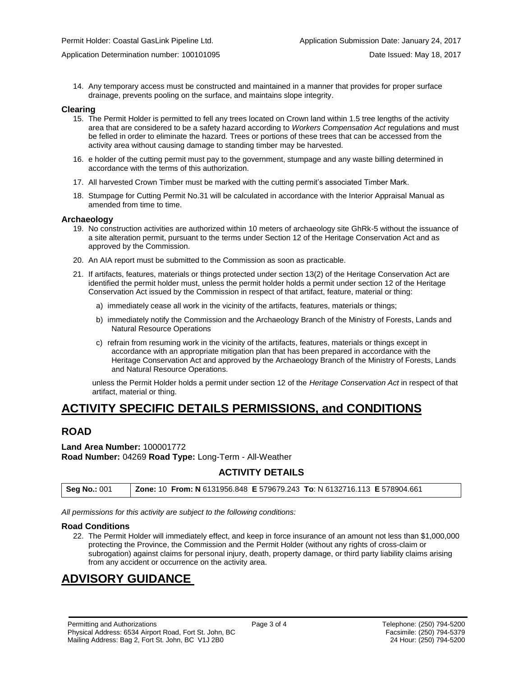14. Any temporary access must be constructed and maintained in a manner that provides for proper surface drainage, prevents pooling on the surface, and maintains slope integrity.

#### **Clearing**

- 15. The Permit Holder is permitted to fell any trees located on Crown land within 1.5 tree lengths of the activity area that are considered to be a safety hazard according to *Workers Compensation Act* regulations and must be felled in order to eliminate the hazard. Trees or portions of these trees that can be accessed from the activity area without causing damage to standing timber may be harvested.
- 16. e holder of the cutting permit must pay to the government, stumpage and any waste billing determined in accordance with the terms of this authorization.
- 17. All harvested Crown Timber must be marked with the cutting permit's associated Timber Mark.
- 18. Stumpage for Cutting Permit No.31 will be calculated in accordance with the Interior Appraisal Manual as amended from time to time.

#### **Archaeology**

- 19. No construction activities are authorized within 10 meters of archaeology site GhRk-5 without the issuance of a site alteration permit, pursuant to the terms under Section 12 of the Heritage Conservation Act and as approved by the Commission.
- 20. An AIA report must be submitted to the Commission as soon as practicable.
- 21. If artifacts, features, materials or things protected under section 13(2) of the Heritage Conservation Act are identified the permit holder must, unless the permit holder holds a permit under section 12 of the Heritage Conservation Act issued by the Commission in respect of that artifact, feature, material or thing:
	- a) immediately cease all work in the vicinity of the artifacts, features, materials or things;
	- b) immediately notify the Commission and the Archaeology Branch of the Ministry of Forests, Lands and Natural Resource Operations
	- c) refrain from resuming work in the vicinity of the artifacts, features, materials or things except in accordance with an appropriate mitigation plan that has been prepared in accordance with the Heritage Conservation Act and approved by the Archaeology Branch of the Ministry of Forests, Lands and Natural Resource Operations.

unless the Permit Holder holds a permit under section 12 of the *Heritage Conservation Act* in respect of that artifact, material or thing.

# **ACTIVITY SPECIFIC DETAILS PERMISSIONS, and CONDITIONS**

## **ROAD**

**Land Area Number:** 100001772 **Road Number:** 04269 **Road Type:** Long-Term - All-Weather

### **ACTIVITY DETAILS**

| <b>Seg No.: 001</b> | <b>Zone: 10 From: N 6131956.848 E 579679.243 To: N 6132716.113 E 578904.661</b> |
|---------------------|---------------------------------------------------------------------------------|
|---------------------|---------------------------------------------------------------------------------|

*All permissions for this activity are subject to the following conditions:*

#### **Road Conditions**

22. The Permit Holder will immediately effect, and keep in force insurance of an amount not less than \$1,000,000 protecting the Province, the Commission and the Permit Holder (without any rights of cross-claim or subrogation) against claims for personal injury, death, property damage, or third party liability claims arising from any accident or occurrence on the activity area.

# **ADVISORY GUIDANCE**